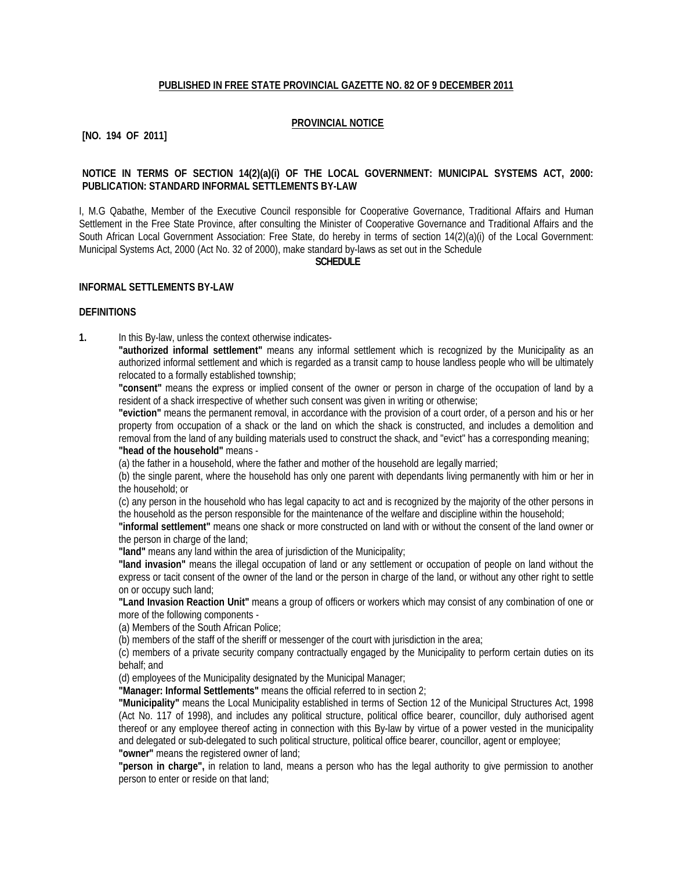#### **PUBLISHED IN FREE STATE PROVINCIAL GAZETTE NO. 82 OF 9 DECEMBER 2011**

#### **PROVINCIAL NOTICE**

### **[NO. 194 OF 2011]**

### **NOTICE IN TERMS OF SECTION 14(2)(a)(i) OF THE LOCAL GOVERNMENT: MUNICIPAL SYSTEMS ACT, 2000: PUBLICATION: STANDARD INFORMAL SETTLEMENTS BY-LAW**

I, M.G Qabathe, Member of the Executive Council responsible for Cooperative Governance, Traditional Affairs and Human Settlement in the Free State Province, after consulting the Minister of Cooperative Governance and Traditional Affairs and the South African Local Government Association: Free State, do hereby in terms of section 14(2)(a)(i) of the Local Government: Municipal Systems Act, 2000 (Act No. 32 of 2000), make standard by-laws as set out in the Schedule

#### **SCHEDULE**

#### **INFORMAL SETTLEMENTS BY-LAW**

#### **DEFINITIONS**

**1.** In this By-law, unless the context otherwise indicates-

**"authorized informal settlement"** means any informal settlement which is recognized by the Municipality as an authorized informal settlement and which is regarded as a transit camp to house landless people who will be ultimately relocated to a formally established township;

**"consent"** means the express or implied consent of the owner or person in charge of the occupation of land by a resident of a shack irrespective of whether such consent was given in writing or otherwise;

**"eviction"** means the permanent removal, in accordance with the provision of a court order, of a person and his or her property from occupation of a shack or the land on which the shack is constructed, and includes a demolition and removal from the land of any building materials used to construct the shack, and "evict" has a corresponding meaning; **"head of the household"** means -

(a) the father in a household, where the father and mother of the household are legally married;

(b) the single parent, where the household has only one parent with dependants living permanently with him or her in the household; or

(c) any person in the household who has legal capacity to act and is recognized by the majority of the other persons in the household as the person responsible for the maintenance of the welfare and discipline within the household;

**"informal settlement"** means one shack or more constructed on land with or without the consent of the land owner or the person in charge of the land;

**"land"** means any land within the area of jurisdiction of the Municipality;

**"land invasion"** means the illegal occupation of land or any settlement or occupation of people on land without the express or tacit consent of the owner of the land or the person in charge of the land, or without any other right to settle on or occupy such land;

**"Land Invasion Reaction Unit"** means a group of officers or workers which may consist of any combination of one or more of the following components -

(a) Members of the South African Police;

(b) members of the staff of the sheriff or messenger of the court with jurisdiction in the area;

(c) members of a private security company contractually engaged by the Municipality to perform certain duties on its behalf; and

(d) employees of the Municipality designated by the Municipal Manager;

**"Manager: Informal Settlements"** means the official referred to in section 2;

**"Municipality"** means the Local Municipality established in terms of Section 12 of the Municipal Structures Act, 1998 (Act No. 117 of 1998), and includes any political structure, political office bearer, councillor, duly authorised agent thereof or any employee thereof acting in connection with this By-law by virtue of a power vested in the municipality and delegated or sub-delegated to such political structure, political office bearer, councillor, agent or employee; **"owner"** means the registered owner of land;

**"person in charge",** in relation to land, means a person who has the legal authority to give permission to another person to enter or reside on that land;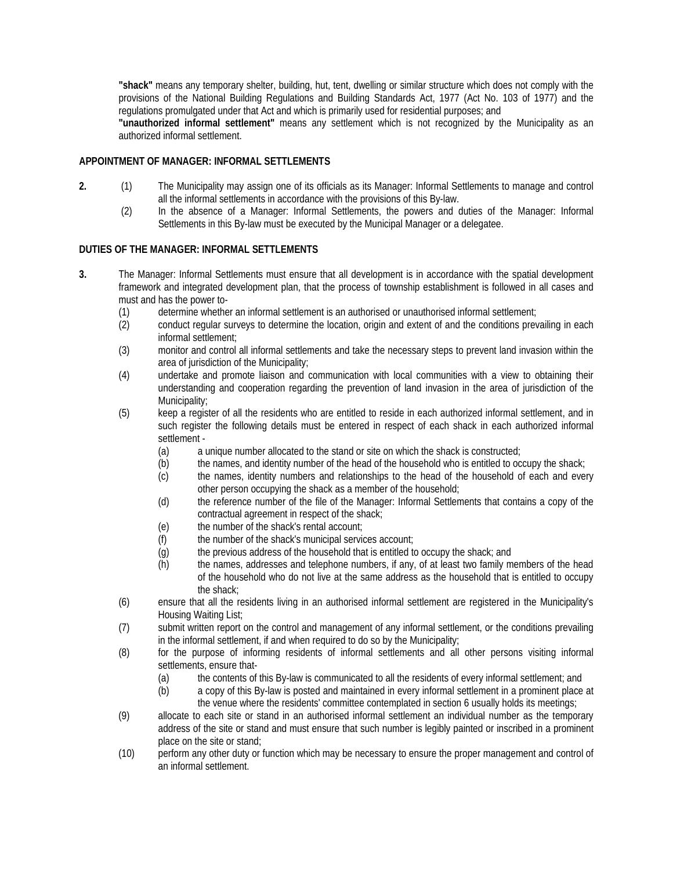**"shack"** means any temporary shelter, building, hut, tent, dwelling or similar structure which does not comply with the provisions of the National Building Regulations and Building Standards Act, 1977 (Act No. 103 of 1977) and the regulations promulgated under that Act and which is primarily used for residential purposes; and

**"unauthorized informal settlement"** means any settlement which is not recognized by the Municipality as an authorized informal settlement.

## **APPOINTMENT OF MANAGER: INFORMAL SETTLEMENTS**

- **2.** (1) The Municipality may assign one of its officials as its Manager: Informal Settlements to manage and control all the informal settlements in accordance with the provisions of this By-law.
	- (2) In the absence of a Manager: Informal Settlements, the powers and duties of the Manager: Informal Settlements in this By-law must be executed by the Municipal Manager or a delegatee.

### **DUTIES OF THE MANAGER: INFORMAL SETTLEMENTS**

- **3.** The Manager: Informal Settlements must ensure that all development is in accordance with the spatial development framework and integrated development plan, that the process of township establishment is followed in all cases and must and has the power to-
	- (1) determine whether an informal settlement is an authorised or unauthorised informal settlement;
	- (2) conduct regular surveys to determine the location, origin and extent of and the conditions prevailing in each informal settlement;
	- (3) monitor and control all informal settlements and take the necessary steps to prevent land invasion within the area of jurisdiction of the Municipality;
	- (4) undertake and promote liaison and communication with local communities with a view to obtaining their understanding and cooperation regarding the prevention of land invasion in the area of jurisdiction of the Municipality;
	- (5) keep a register of all the residents who are entitled to reside in each authorized informal settlement, and in such register the following details must be entered in respect of each shack in each authorized informal settlement -
		- (a) a unique number allocated to the stand or site on which the shack is constructed;
		- (b) the names, and identity number of the head of the household who is entitled to occupy the shack;
		- (c) the names, identity numbers and relationships to the head of the household of each and every other person occupying the shack as a member of the household;
		- (d) the reference number of the file of the Manager: Informal Settlements that contains a copy of the contractual agreement in respect of the shack;
		- (e) the number of the shack's rental account;
		- (f) the number of the shack's municipal services account;
		- (g) the previous address of the household that is entitled to occupy the shack; and
		- (h) the names, addresses and telephone numbers, if any, of at least two family members of the head of the household who do not live at the same address as the household that is entitled to occupy the shack;
	- (6) ensure that all the residents living in an authorised informal settlement are registered in the Municipality's Housing Waiting List;
	- (7) submit written report on the control and management of any informal settlement, or the conditions prevailing in the informal settlement, if and when required to do so by the Municipality;
	- (8) for the purpose of informing residents of informal settlements and all other persons visiting informal settlements, ensure that-
		- (a) the contents of this By-law is communicated to all the residents of every informal settlement; and
		- (b) a copy of this By-law is posted and maintained in every informal settlement in a prominent place at the venue where the residents' committee contemplated in section 6 usually holds its meetings;
	- (9) allocate to each site or stand in an authorised informal settlement an individual number as the temporary address of the site or stand and must ensure that such number is legibly painted or inscribed in a prominent place on the site or stand;
	- (10) perform any other duty or function which may be necessary to ensure the proper management and control of an informal settlement.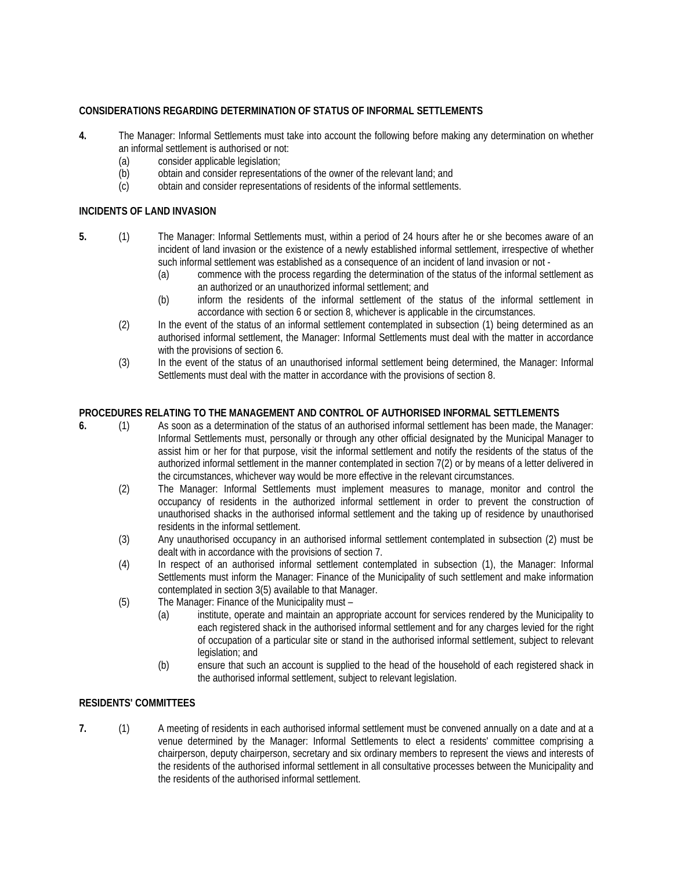## **CONSIDERATIONS REGARDING DETERMINATION OF STATUS OF INFORMAL SETTLEMENTS**

- **4.** The Manager: Informal Settlements must take into account the following before making any determination on whether an informal settlement is authorised or not:
	- (a) consider applicable legislation;<br>(b) obtain and consider representa
	- obtain and consider representations of the owner of the relevant land; and
	- (c) obtain and consider representations of residents of the informal settlements.

## **INCIDENTS OF LAND INVASION**

- **5.** (1) The Manager: Informal Settlements must, within a period of 24 hours after he or she becomes aware of an incident of land invasion or the existence of a newly established informal settlement, irrespective of whether such informal settlement was established as a consequence of an incident of land invasion or not -
	- (a) commence with the process regarding the determination of the status of the informal settlement as an authorized or an unauthorized informal settlement; and
	- (b) inform the residents of the informal settlement of the status of the informal settlement in accordance with section 6 or section 8, whichever is applicable in the circumstances.
	- (2) In the event of the status of an informal settlement contemplated in subsection (1) being determined as an authorised informal settlement, the Manager: Informal Settlements must deal with the matter in accordance with the provisions of section 6.
	- (3) In the event of the status of an unauthorised informal settlement being determined, the Manager: Informal Settlements must deal with the matter in accordance with the provisions of section 8.

# **PROCEDURES RELATING TO THE MANAGEMENT AND CONTROL OF AUTHORISED INFORMAL SETTLEMENTS**

- **6.** (1) As soon as a determination of the status of an authorised informal settlement has been made, the Manager: Informal Settlements must, personally or through any other official designated by the Municipal Manager to assist him or her for that purpose, visit the informal settlement and notify the residents of the status of the authorized informal settlement in the manner contemplated in section 7(2) or by means of a letter delivered in the circumstances, whichever way would be more effective in the relevant circumstances.
	- (2) The Manager: Informal Settlements must implement measures to manage, monitor and control the occupancy of residents in the authorized informal settlement in order to prevent the construction of unauthorised shacks in the authorised informal settlement and the taking up of residence by unauthorised residents in the informal settlement.
	- (3) Any unauthorised occupancy in an authorised informal settlement contemplated in subsection (2) must be dealt with in accordance with the provisions of section 7.
	- (4) In respect of an authorised informal settlement contemplated in subsection (1), the Manager: Informal Settlements must inform the Manager: Finance of the Municipality of such settlement and make information contemplated in section 3(5) available to that Manager.
	- (5) The Manager: Finance of the Municipality must
		- (a) institute, operate and maintain an appropriate account for services rendered by the Municipality to each registered shack in the authorised informal settlement and for any charges levied for the right of occupation of a particular site or stand in the authorised informal settlement, subject to relevant legislation; and
		- (b) ensure that such an account is supplied to the head of the household of each registered shack in the authorised informal settlement, subject to relevant legislation.

## **RESIDENTS' COMMITTEES**

**7.** (1) A meeting of residents in each authorised informal settlement must be convened annually on a date and at a venue determined by the Manager: Informal Settlements to elect a residents' committee comprising a chairperson, deputy chairperson, secretary and six ordinary members to represent the views and interests of the residents of the authorised informal settlement in all consultative processes between the Municipality and the residents of the authorised informal settlement.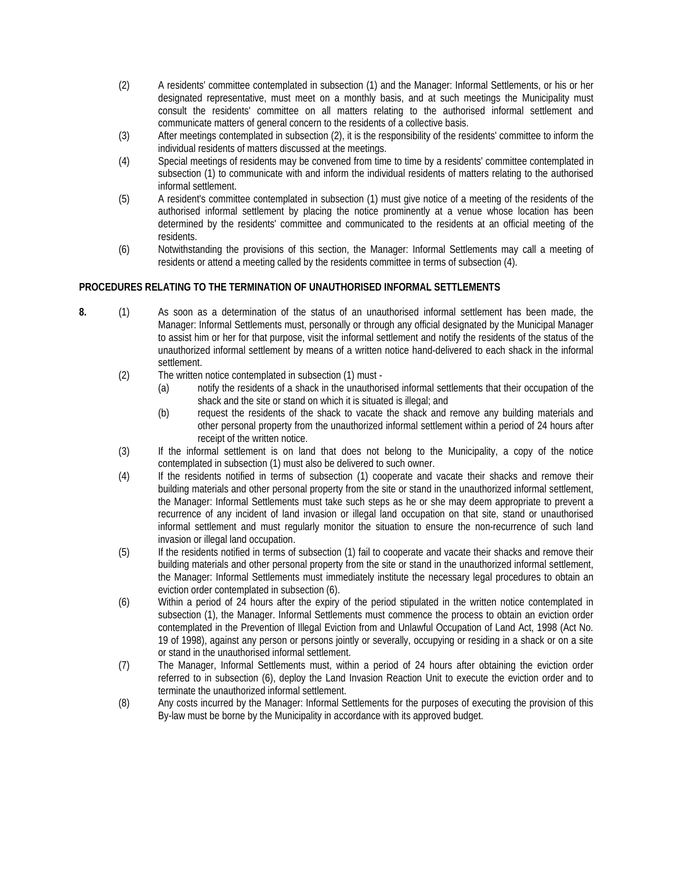- (2) A residents' committee contemplated in subsection (1) and the Manager: Informal Settlements, or his or her designated representative, must meet on a monthly basis, and at such meetings the Municipality must consult the residents' committee on all matters relating to the authorised informal settlement and communicate matters of general concern to the residents of a collective basis.
- (3) After meetings contemplated in subsection (2), it is the responsibility of the residents' committee to inform the individual residents of matters discussed at the meetings.
- (4) Special meetings of residents may be convened from time to time by a residents' committee contemplated in subsection (1) to communicate with and inform the individual residents of matters relating to the authorised informal settlement.
- (5) A resident's committee contemplated in subsection (1) must give notice of a meeting of the residents of the authorised informal settlement by placing the notice prominently at a venue whose location has been determined by the residents' committee and communicated to the residents at an official meeting of the residents.
- (6) Notwithstanding the provisions of this section, the Manager: Informal Settlements may call a meeting of residents or attend a meeting called by the residents committee in terms of subsection (4).

## **PROCEDURES RELATING TO THE TERMINATION OF UNAUTHORISED INFORMAL SETTLEMENTS**

- **8.** (1) As soon as a determination of the status of an unauthorised informal settlement has been made, the Manager: Informal Settlements must, personally or through any official designated by the Municipal Manager to assist him or her for that purpose, visit the informal settlement and notify the residents of the status of the unauthorized informal settlement by means of a written notice hand-delivered to each shack in the informal settlement.
	- (2) The written notice contemplated in subsection (1) must
		- (a) notify the residents of a shack in the unauthorised informal settlements that their occupation of the shack and the site or stand on which it is situated is illegal; and
		- (b) request the residents of the shack to vacate the shack and remove any building materials and other personal property from the unauthorized informal settlement within a period of 24 hours after receipt of the written notice.
	- (3) If the informal settlement is on land that does not belong to the Municipality, a copy of the notice contemplated in subsection (1) must also be delivered to such owner.
	- (4) If the residents notified in terms of subsection (1) cooperate and vacate their shacks and remove their building materials and other personal property from the site or stand in the unauthorized informal settlement, the Manager: Informal Settlements must take such steps as he or she may deem appropriate to prevent a recurrence of any incident of land invasion or illegal land occupation on that site, stand or unauthorised informal settlement and must regularly monitor the situation to ensure the non-recurrence of such land invasion or illegal land occupation.
	- (5) If the residents notified in terms of subsection (1) fail to cooperate and vacate their shacks and remove their building materials and other personal property from the site or stand in the unauthorized informal settlement, the Manager: Informal Settlements must immediately institute the necessary legal procedures to obtain an eviction order contemplated in subsection (6).
	- (6) Within a period of 24 hours after the expiry of the period stipulated in the written notice contemplated in subsection (1), the Manager. Informal Settlements must commence the process to obtain an eviction order contemplated in the Prevention of Illegal Eviction from and Unlawful Occupation of Land Act, 1998 (Act No. 19 of 1998), against any person or persons jointly or severally, occupying or residing in a shack or on a site or stand in the unauthorised informal settlement.
	- (7) The Manager, Informal Settlements must, within a period of 24 hours after obtaining the eviction order referred to in subsection (6), deploy the Land Invasion Reaction Unit to execute the eviction order and to terminate the unauthorized informal settlement.
	- (8) Any costs incurred by the Manager: Informal Settlements for the purposes of executing the provision of this By-law must be borne by the Municipality in accordance with its approved budget.